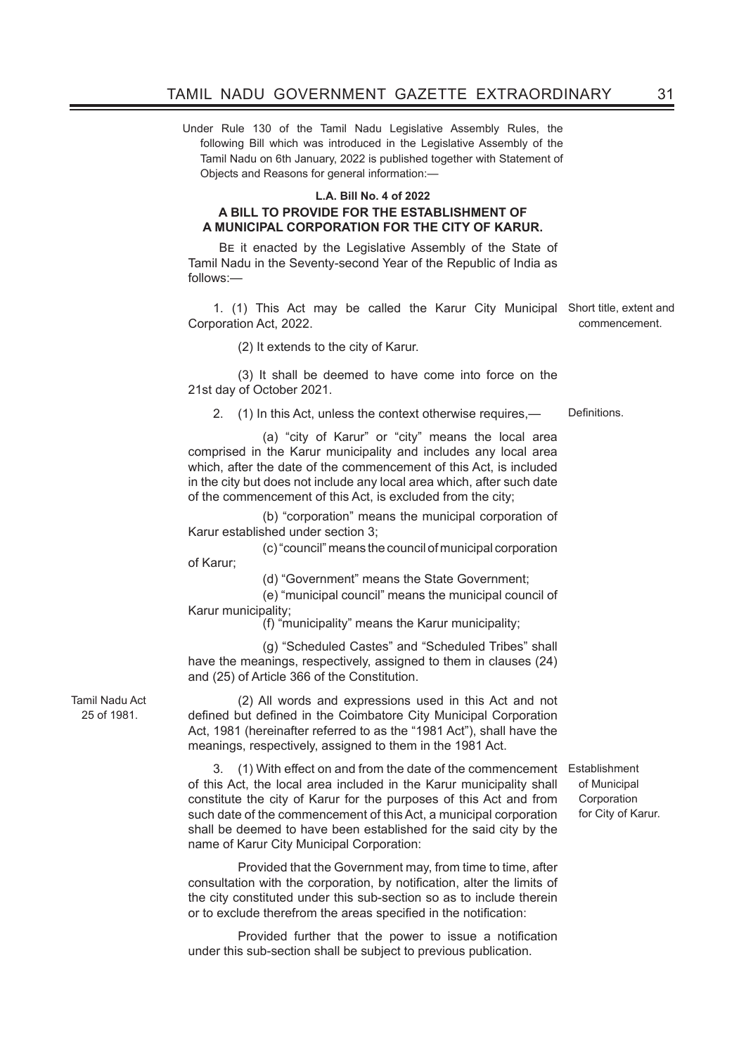Under Rule 130 of the Tamil Nadu Legislative Assembly Rules, the following Bill which was introduced in the Legislative Assembly of the Tamil Nadu on 6th January, 2022 is published together with Statement of Objects and Reasons for general information:—

#### **L.A. Bill No. 4 of 2022**

### **A BILL TO PROVIDE FOR THE ESTABLISHMENT OF A MUNICIPAL CORPORATION FOR THE CITY OF KARUR.**

Be it enacted by the Legislative Assembly of the State of Tamil Nadu in the Seventy-second Year of the Republic of India as follows:—

1. (1) This Act may be called the Karur City Municipal Short title, extent and Corporation Act, 2022. commencement.

(2) It extends to the city of Karur.

(3) It shall be deemed to have come into force on the 21st day of October 2021.

2. (1) In this Act, unless the context otherwise requires,— Definitions.

 (a) "city of Karur" or "city" means the local area comprised in the Karur municipality and includes any local area which, after the date of the commencement of this Act, is included in the city but does not include any local area which, after such date of the commencement of this Act, is excluded from the city;

 (b) "corporation" means the municipal corporation of Karur established under section 3;

 (c) "council" means the council of municipal corporation of Karur;

(d) "Government" means the State Government;

 (e) "municipal council" means the municipal council of Karur municipality;

(f) "municipality" means the Karur municipality;

 (g) "Scheduled Castes" and "Scheduled Tribes" shall have the meanings, respectively, assigned to them in clauses (24) and (25) of Article 366 of the Constitution.

Tamil Nadu Act 25 of 1981.

(2) All words and expressions used in this Act and not defined but defined in the Coimbatore City Municipal Corporation Act, 1981 (hereinafter referred to as the "1981 Act"), shall have the meanings, respectively, assigned to them in the 1981 Act.

3. (1) With effect on and from the date of the commencement Establishment of this Act, the local area included in the Karur municipality shall constitute the city of Karur for the purposes of this Act and from such date of the commencement of this Act, a municipal corporation shall be deemed to have been established for the said city by the name of Karur City Municipal Corporation:

Provided that the Government may, from time to time, after consultation with the corporation, by notification, alter the limits of the city constituted under this sub-section so as to include therein or to exclude therefrom the areas specified in the notification:

 Provided further that the power to issue a notification under this sub-section shall be subject to previous publication.

of Municipal Corporation for City of Karur.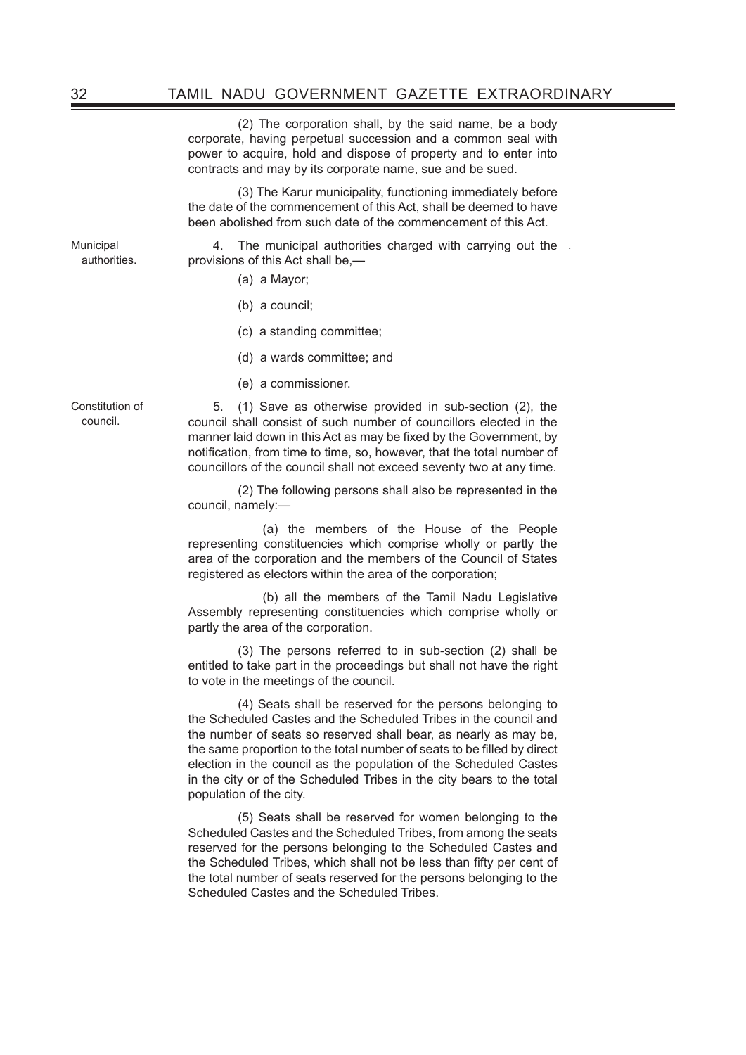(2) The corporation shall, by the said name, be a body corporate, having perpetual succession and a common seal with power to acquire, hold and dispose of property and to enter into contracts and may by its corporate name, sue and be sued.

(3) The Karur municipality, functioning immediately before the date of the commencement of this Act, shall be deemed to have been abolished from such date of the commencement of this Act.

Municipal authorities.

4. The municipal authorities charged with carrying out the . provisions of this Act shall be,—

- (a) a Mayor;
- (b) a council;
- (c) a standing committee;
- (d) a wards committee; and
- (e) a commissioner.

Constitution of council.

5. (1) Save as otherwise provided in sub-section (2), the council shall consist of such number of councillors elected in the manner laid down in this Act as may be fixed by the Government, by notification, from time to time, so, however, that the total number of councillors of the council shall not exceed seventy two at any time.

(2) The following persons shall also be represented in the council, namely:—

 (a) the members of the House of the People representing constituencies which comprise wholly or partly the area of the corporation and the members of the Council of States registered as electors within the area of the corporation;

 (b) all the members of the Tamil Nadu Legislative Assembly representing constituencies which comprise wholly or partly the area of the corporation.

(3) The persons referred to in sub-section (2) shall be entitled to take part in the proceedings but shall not have the right to vote in the meetings of the council.

(4) Seats shall be reserved for the persons belonging to the Scheduled Castes and the Scheduled Tribes in the council and the number of seats so reserved shall bear, as nearly as may be, the same proportion to the total number of seats to be filled by direct election in the council as the population of the Scheduled Castes in the city or of the Scheduled Tribes in the city bears to the total population of the city.

(5) Seats shall be reserved for women belonging to the Scheduled Castes and the Scheduled Tribes, from among the seats reserved for the persons belonging to the Scheduled Castes and the Scheduled Tribes, which shall not be less than fifty per cent of the total number of seats reserved for the persons belonging to the Scheduled Castes and the Scheduled Tribes.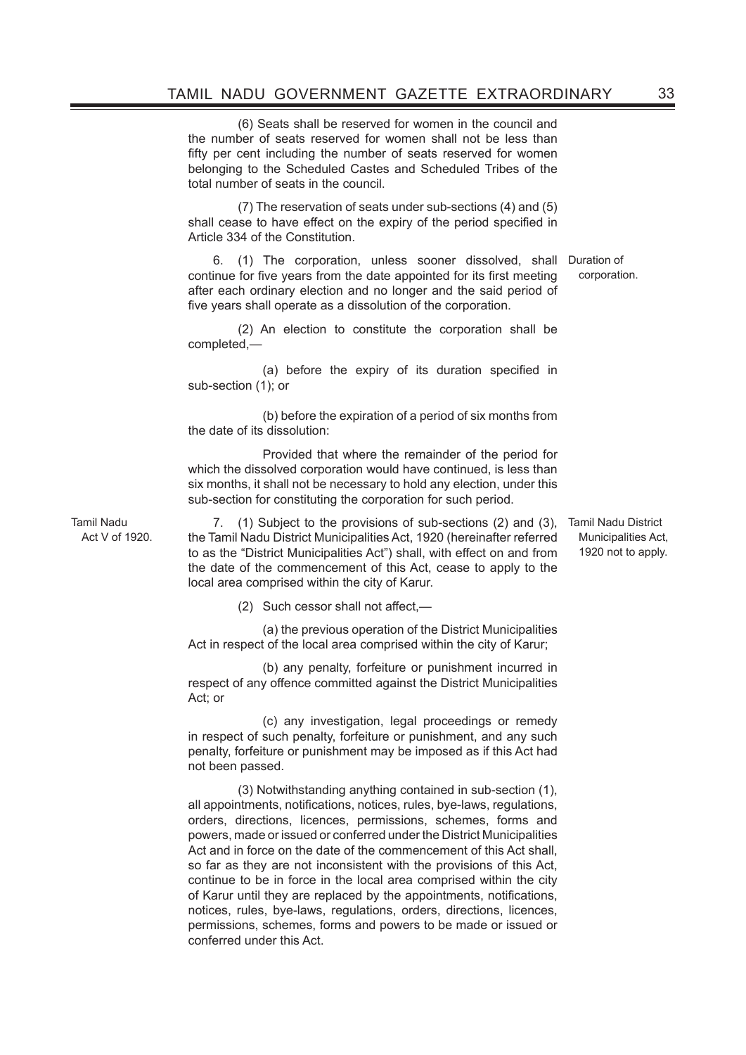(6) Seats shall be reserved for women in the council and the number of seats reserved for women shall not be less than fifty per cent including the number of seats reserved for women belonging to the Scheduled Castes and Scheduled Tribes of the total number of seats in the council.

(7) The reservation of seats under sub-sections (4) and (5) shall cease to have effect on the expiry of the period specified in Article 334 of the Constitution.

6. (1) The corporation, unless sooner dissolved, shall Duration of continue for five years from the date appointed for its first meeting after each ordinary election and no longer and the said period of five years shall operate as a dissolution of the corporation.

(2) An election to constitute the corporation shall be completed,—

 (a) before the expiry of its duration specified in sub-section (1); or

 (b) before the expiration of a period of six months from the date of its dissolution:

 Provided that where the remainder of the period for which the dissolved corporation would have continued, is less than six months, it shall not be necessary to hold any election, under this sub-section for constituting the corporation for such period.

Tamil Nadu Act V of 1920.

7. (1) Subject to the provisions of sub-sections (2) and (3), the Tamil Nadu District Municipalities Act, 1920 (hereinafter referred to as the "District Municipalities Act") shall, with effect on and from the date of the commencement of this Act, cease to apply to the local area comprised within the city of Karur.

(2) Such cessor shall not affect,-

 (a) the previous operation of the District Municipalities Act in respect of the local area comprised within the city of Karur;

 (b) any penalty, forfeiture or punishment incurred in respect of any offence committed against the District Municipalities Act; or

 (c) any investigation, legal proceedings or remedy in respect of such penalty, forfeiture or punishment, and any such penalty, forfeiture or punishment may be imposed as if this Act had not been passed.

(3) Notwithstanding anything contained in sub-section (1), all appointments, notifications, notices, rules, bye-laws, regulations, orders, directions, licences, permissions, schemes, forms and powers, made or issued or conferred under the District Municipalities Act and in force on the date of the commencement of this Act shall, so far as they are not inconsistent with the provisions of this Act, continue to be in force in the local area comprised within the city of Karur until they are replaced by the appointments, notifications, notices, rules, bye-laws, regulations, orders, directions, licences, permissions, schemes, forms and powers to be made or issued or conferred under this Act.

Tamil Nadu District Municipalities Act, 1920 not to apply.

corporation.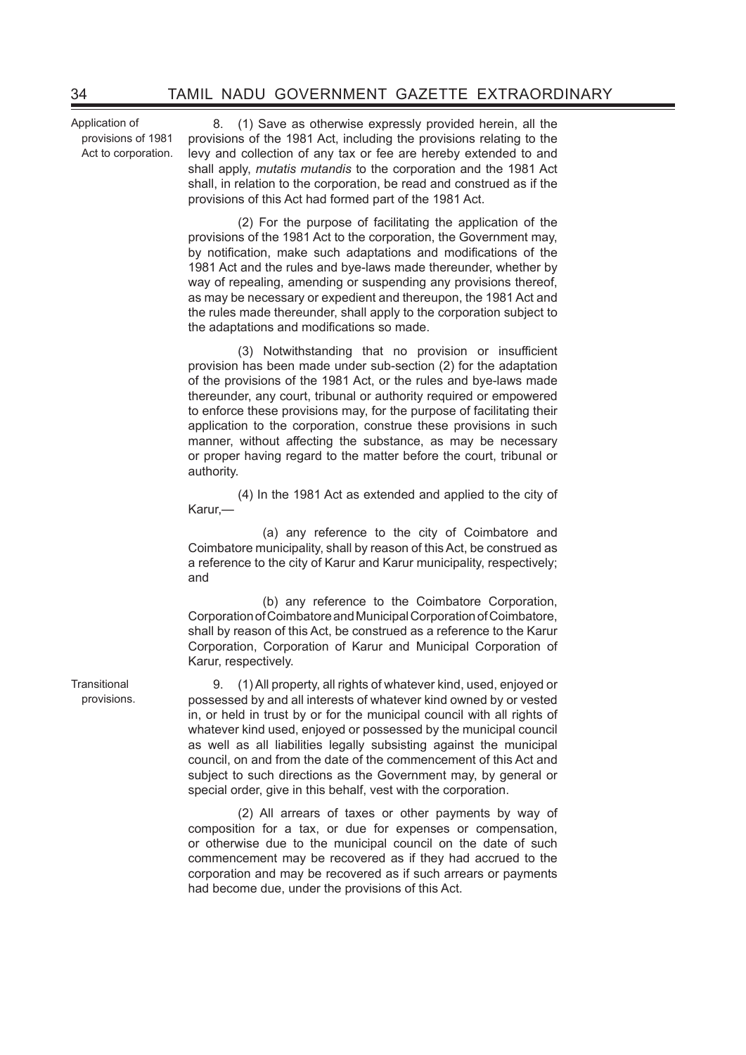Application of provisions of 1981 Act to corporation.

8. (1) Save as otherwise expressly provided herein, all the provisions of the 1981 Act, including the provisions relating to the levy and collection of any tax or fee are hereby extended to and shall apply, *mutatis mutandis* to the corporation and the 1981 Act shall, in relation to the corporation, be read and construed as if the provisions of this Act had formed part of the 1981 Act.

(2) For the purpose of facilitating the application of the provisions of the 1981 Act to the corporation, the Government may, by notification, make such adaptations and modifications of the 1981 Act and the rules and bye-laws made thereunder, whether by way of repealing, amending or suspending any provisions thereof. as may be necessary or expedient and thereupon, the 1981 Act and the rules made thereunder, shall apply to the corporation subject to the adaptations and modifications so made.

 (3) Notwithstanding that no provision or insufficient provision has been made under sub-section (2) for the adaptation of the provisions of the 1981 Act, or the rules and bye-laws made thereunder, any court, tribunal or authority required or empowered to enforce these provisions may, for the purpose of facilitating their application to the corporation, construe these provisions in such manner, without affecting the substance, as may be necessary or proper having regard to the matter before the court, tribunal or authority.

 (4) In the 1981 Act as extended and applied to the city of Karur,—

 (a) any reference to the city of Coimbatore and Coimbatore municipality, shall by reason of this Act, be construed as a reference to the city of Karur and Karur municipality, respectively; and

 (b) any reference to the Coimbatore Corporation, Corporation of Coimbatore and Municipal Corporation of Coimbatore, shall by reason of this Act, be construed as a reference to the Karur Corporation, Corporation of Karur and Municipal Corporation of Karur, respectively.

9. (1)All property, all rights of whatever kind, used, enjoyed or possessed by and all interests of whatever kind owned by or vested in, or held in trust by or for the municipal council with all rights of whatever kind used, enjoyed or possessed by the municipal council as well as all liabilities legally subsisting against the municipal council, on and from the date of the commencement of this Act and subject to such directions as the Government may, by general or special order, give in this behalf, vest with the corporation.

(2) All arrears of taxes or other payments by way of composition for a tax, or due for expenses or compensation, or otherwise due to the municipal council on the date of such commencement may be recovered as if they had accrued to the corporation and may be recovered as if such arrears or payments had become due, under the provisions of this Act.

**Transitional** provisions.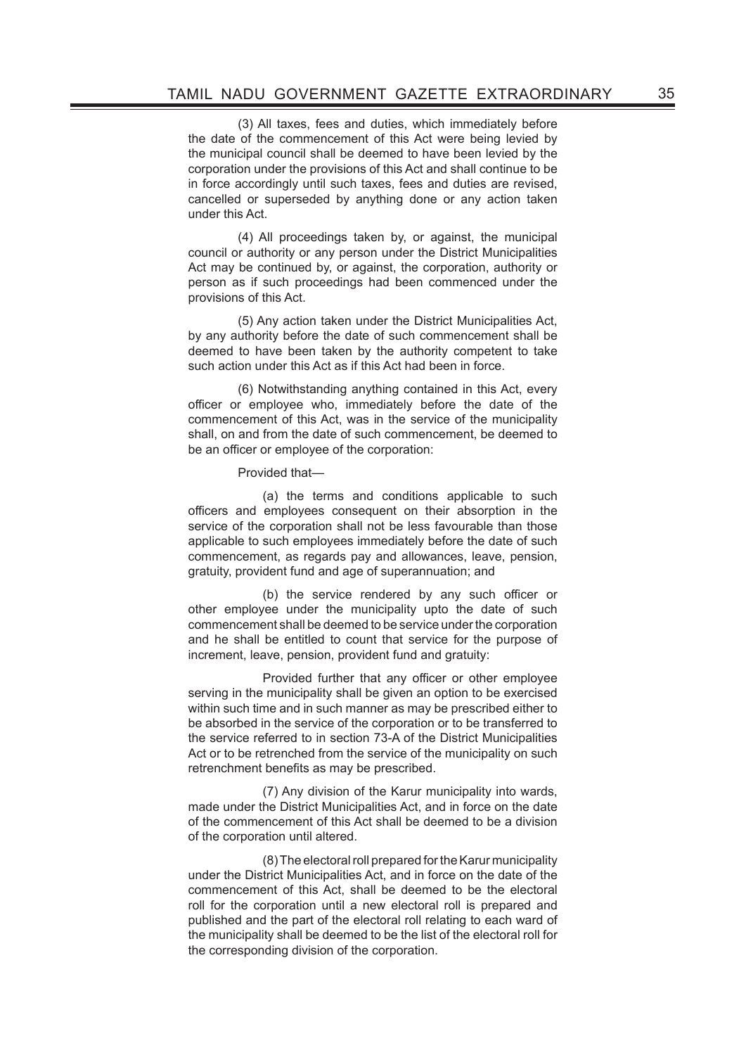(3) All taxes, fees and duties, which immediately before the date of the commencement of this Act were being levied by the municipal council shall be deemed to have been levied by the corporation under the provisions of this Act and shall continue to be in force accordingly until such taxes, fees and duties are revised, cancelled or superseded by anything done or any action taken under this Act.

(4) All proceedings taken by, or against, the municipal council or authority or any person under the District Municipalities Act may be continued by, or against, the corporation, authority or person as if such proceedings had been commenced under the provisions of this Act.

(5) Any action taken under the District Municipalities Act, by any authority before the date of such commencement shall be deemed to have been taken by the authority competent to take such action under this Act as if this Act had been in force.

(6) Notwithstanding anything contained in this Act, every officer or employee who, immediately before the date of the commencement of this Act, was in the service of the municipality shall, on and from the date of such commencement, be deemed to be an officer or employee of the corporation:

Provided that—

 (a) the terms and conditions applicable to such officers and employees consequent on their absorption in the service of the corporation shall not be less favourable than those applicable to such employees immediately before the date of such commencement, as regards pay and allowances, leave, pension, gratuity, provident fund and age of superannuation; and

 (b) the service rendered by any such officer or other employee under the municipality upto the date of such commencement shall be deemed to be service under the corporation and he shall be entitled to count that service for the purpose of increment, leave, pension, provident fund and gratuity:

 Provided further that any officer or other employee serving in the municipality shall be given an option to be exercised within such time and in such manner as may be prescribed either to be absorbed in the service of the corporation or to be transferred to the service referred to in section 73-A of the District Municipalities Act or to be retrenched from the service of the municipality on such retrenchment benefits as may be prescribed.

 (7) Any division of the Karur municipality into wards, made under the District Municipalities Act, and in force on the date of the commencement of this Act shall be deemed to be a division of the corporation until altered.

(8) The electoral roll prepared for the Karur municipality under the District Municipalities Act, and in force on the date of the commencement of this Act, shall be deemed to be the electoral roll for the corporation until a new electoral roll is prepared and published and the part of the electoral roll relating to each ward of the municipality shall be deemed to be the list of the electoral roll for the corresponding division of the corporation.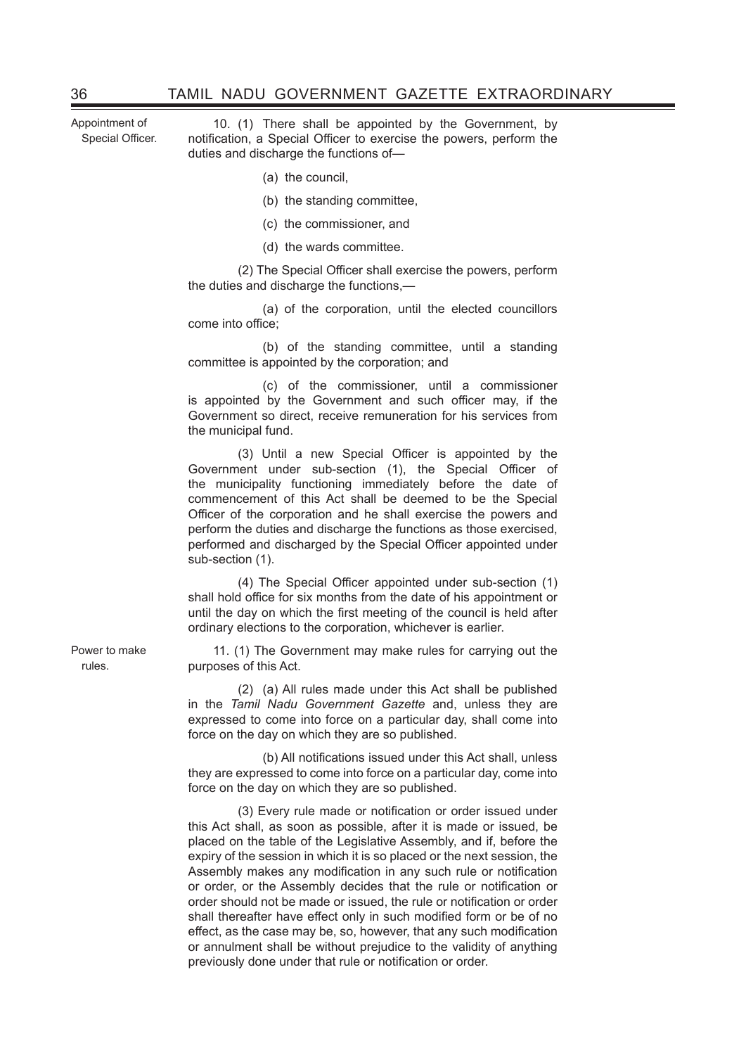Appointment of Special Officer.

10. (1) There shall be appointed by the Government, by notification, a Special Officer to exercise the powers, perform the duties and discharge the functions of—

- (a) the council,
- (b) the standing committee,
- (c) the commissioner, and
- (d) the wards committee.

 (2) The Special Officer shall exercise the powers, perform the duties and discharge the functions,—

 (a) of the corporation, until the elected councillors come into office;

 (b) of the standing committee, until a standing committee is appointed by the corporation; and

 (c) of the commissioner, until a commissioner is appointed by the Government and such officer may, if the Government so direct, receive remuneration for his services from the municipal fund.

 (3) Until a new Special Officer is appointed by the Government under sub-section (1), the Special Officer of the municipality functioning immediately before the date of commencement of this Act shall be deemed to be the Special Officer of the corporation and he shall exercise the powers and perform the duties and discharge the functions as those exercised, performed and discharged by the Special Officer appointed under sub-section (1).

 (4) The Special Officer appointed under sub-section (1) shall hold office for six months from the date of his appointment or until the day on which the first meeting of the council is held after ordinary elections to the corporation, whichever is earlier.

11. (1) The Government may make rules for carrying out the purposes of this Act.

(2) (a) All rules made under this Act shall be published in the *Tamil Nadu Government Gazette* and, unless they are expressed to come into force on a particular day, shall come into force on the day on which they are so published.

 (b) All notifications issued under this Act shall, unless they are expressed to come into force on a particular day, come into force on the day on which they are so published.

 (3) Every rule made or notification or order issued under this Act shall, as soon as possible, after it is made or issued, be placed on the table of the Legislative Assembly, and if, before the expiry of the session in which it is so placed or the next session, the Assembly makes any modification in any such rule or notification or order, or the Assembly decides that the rule or notification or order should not be made or issued, the rule or notification or order shall thereafter have effect only in such modified form or be of no effect, as the case may be, so, however, that any such modification or annulment shall be without prejudice to the validity of anything previously done under that rule or notification or order.

Power to make rules.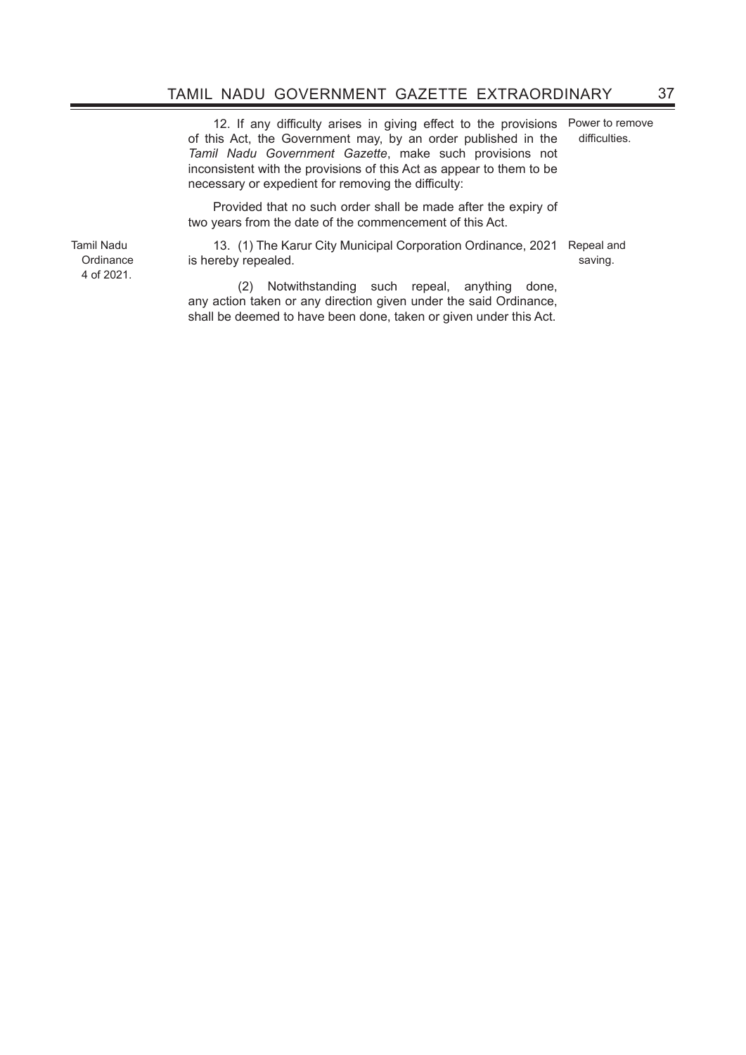12. If any difficulty arises in giving effect to the provisions of this Act, the Government may, by an order published in the *Tamil Nadu Government Gazette*, make such provisions not inconsistent with the provisions of this Act as appear to them to be necessary or expedient for removing the difficulty:

Power to remove difficulties.

Provided that no such order shall be made after the expiry of two years from the date of the commencement of this Act.

13. (1) The Karur City Municipal Corporation Ordinance, 2021 Repeal and is hereby repealed.

saving.

**Ordinance** 4 of 2021.

Tamil Nadu

(2) Notwithstanding such repeal, anything done, any action taken or any direction given under the said Ordinance, shall be deemed to have been done, taken or given under this Act.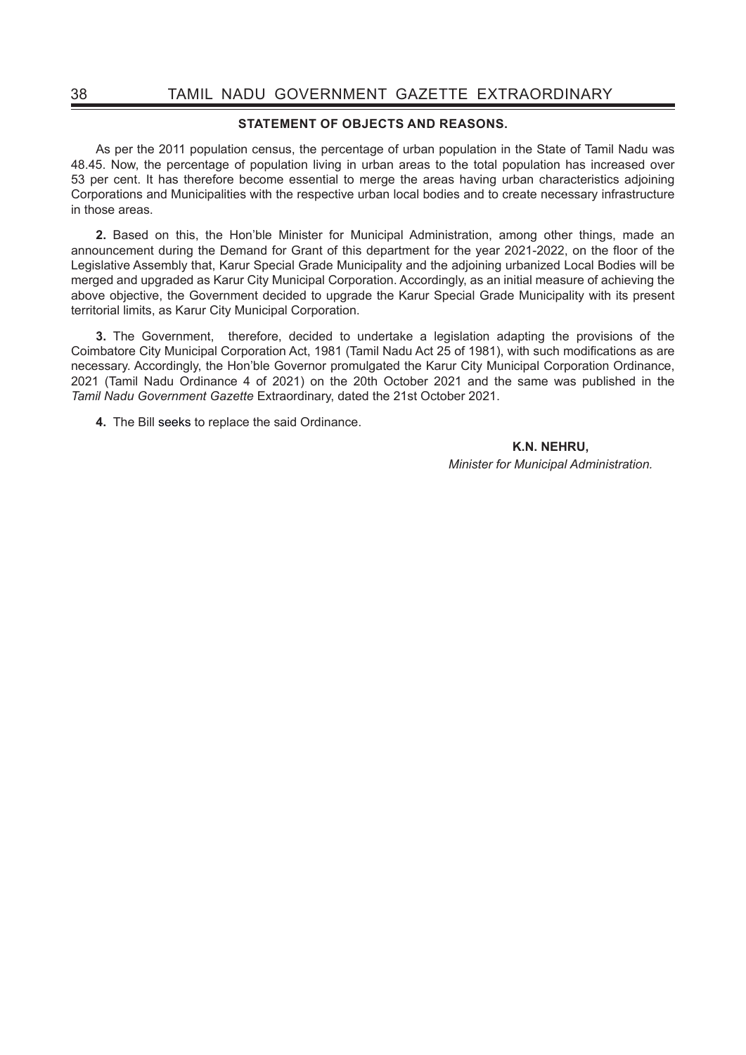#### **STATEMENT OF OBJECTS AND REASONS.**

As per the 2011 population census, the percentage of urban population in the State of Tamil Nadu was 48.45. Now, the percentage of population living in urban areas to the total population has increased over 53 per cent. It has therefore become essential to merge the areas having urban characteristics adjoining Corporations and Municipalities with the respective urban local bodies and to create necessary infrastructure in those areas.

**2.** Based on this, the Hon'ble Minister for Municipal Administration, among other things, made an announcement during the Demand for Grant of this department for the year 2021-2022, on the floor of the Legislative Assembly that, Karur Special Grade Municipality and the adjoining urbanized Local Bodies will be merged and upgraded as Karur City Municipal Corporation. Accordingly, as an initial measure of achieving the above objective, the Government decided to upgrade the Karur Special Grade Municipality with its present territorial limits, as Karur City Municipal Corporation.

**3.** The Government, therefore, decided to undertake a legislation adapting the provisions of the Coimbatore City Municipal Corporation Act, 1981 (Tamil Nadu Act 25 of 1981), with such modifications as are necessary. Accordingly, the Hon'ble Governor promulgated the Karur City Municipal Corporation Ordinance, 2021 (Tamil Nadu Ordinance 4 of 2021) on the 20th October 2021 and the same was published in the *Tamil Nadu Government Gazette* Extraordinary, dated the 21st October 2021.

**4.** The Bill seeks to replace the said Ordinance.

**K.N. NEHRU,** *Minister for Municipal Administration.*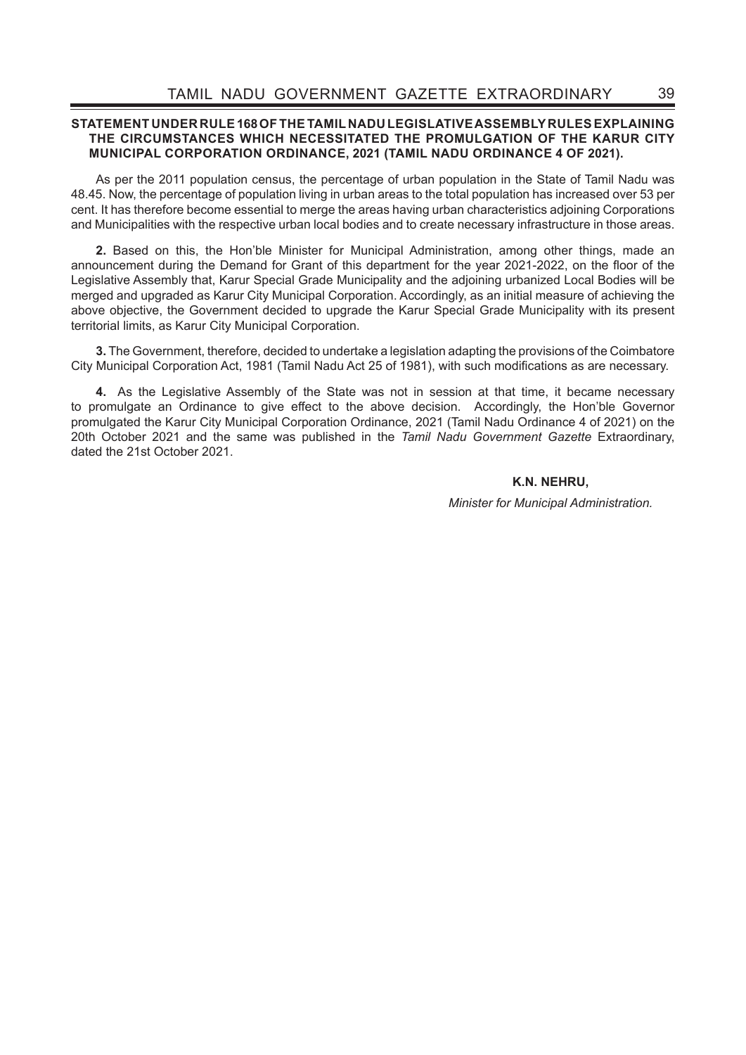## **STATEMENT UNDER RULE 168 OF THE TAMIL NADU LEGISLATIVE ASSEMBLY RULES EXPLAINING THE CIRCUMSTANCES WHICH NECESSITATED THE PROMULGATION OF THE KARUR CITY MUNICIPAL CORPORATION ORDINANCE, 2021 (TAMIL NADU ORDINANCE 4 OF 2021).**

As per the 2011 population census, the percentage of urban population in the State of Tamil Nadu was 48.45. Now, the percentage of population living in urban areas to the total population has increased over 53 per cent. It has therefore become essential to merge the areas having urban characteristics adjoining Corporations and Municipalities with the respective urban local bodies and to create necessary infrastructure in those areas.

**2.** Based on this, the Hon'ble Minister for Municipal Administration, among other things, made an announcement during the Demand for Grant of this department for the year 2021-2022, on the floor of the Legislative Assembly that, Karur Special Grade Municipality and the adjoining urbanized Local Bodies will be merged and upgraded as Karur City Municipal Corporation. Accordingly, as an initial measure of achieving the above objective, the Government decided to upgrade the Karur Special Grade Municipality with its present territorial limits, as Karur City Municipal Corporation.

**3.** The Government, therefore, decided to undertake a legislation adapting the provisions of the Coimbatore City Municipal Corporation Act, 1981 (Tamil Nadu Act 25 of 1981), with such modifications as are necessary.

**4.** As the Legislative Assembly of the State was not in session at that time, it became necessary to promulgate an Ordinance to give effect to the above decision. Accordingly, the Hon'ble Governor promulgated the Karur City Municipal Corporation Ordinance, 2021 (Tamil Nadu Ordinance 4 of 2021) on the 20th October 2021 and the same was published in the *Tamil Nadu Government Gazette* Extraordinary, dated the 21st October 2021.

**K.N. NEHRU,**

*Minister for Municipal Administration.*